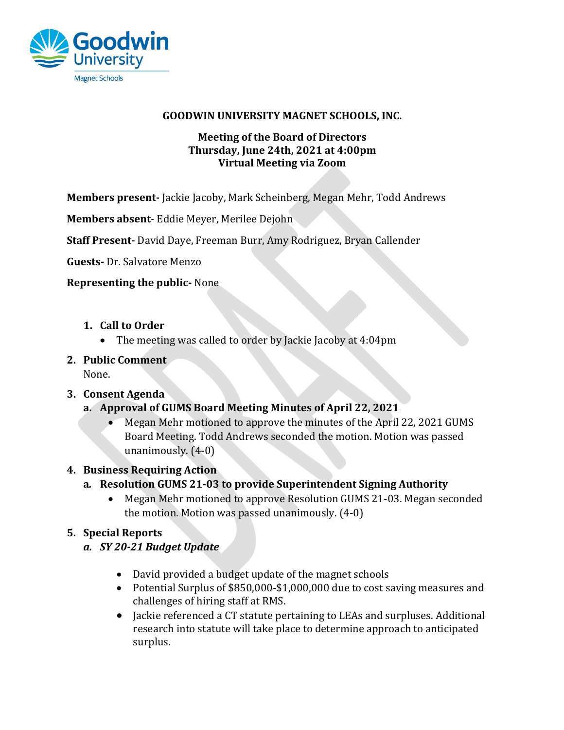

### GOODWIN UNIVERSITY MAGNET SCHOOLS, INC.

### **Meeting of the Board of Directors Thursday, June 24th, 2021 at 4:00pm Virtual Meeting via Zoom**

**Members present-** Jackie Jacoby, Mark Scheinberg, Megan Mehr, Todd Andrews

**Members absent**- Eddie Meyer, Merilee Dejohn

**Staff Present-** David Daye, Freeman Burr, Amy Rodriguez, Bryan Callender

**Guests-** Dr. Salvatore Menzo

### **Representing the public-** None

- 1. **Call to Order** 
	- The meeting was called to order by Jackie Jacoby at  $4:04$ pm
- **2. Public Comment**

None.

# **3. Consent Agenda**

- **a. Approval of GUMS Board Meeting Minutes of April 22, 2021**
	- Megan Mehr motioned to approve the minutes of the April 22, 2021 GUMS Board Meeting. Todd Andrews seconded the motion. Motion was passed unanimously.  $(4-0)$

# **4. Business Requiring Action**

# a. Resolution GUMS 21-03 to provide Superintendent Signing Authority

• Megan Mehr motioned to approve Resolution GUMS 21-03. Megan seconded the motion. Motion was passed unanimously.  $(4-0)$ 

# **5. Special Reports**

- *a. SY 20-21 Budget Update*
	- David provided a budget update of the magnet schools
	- Potential Surplus of \$850,000-\$1,000,000 due to cost saving measures and challenges of hiring staff at RMS.
	- Jackie referenced a CT statute pertaining to LEAs and surpluses. Additional research into statute will take place to determine approach to anticipated surplus.